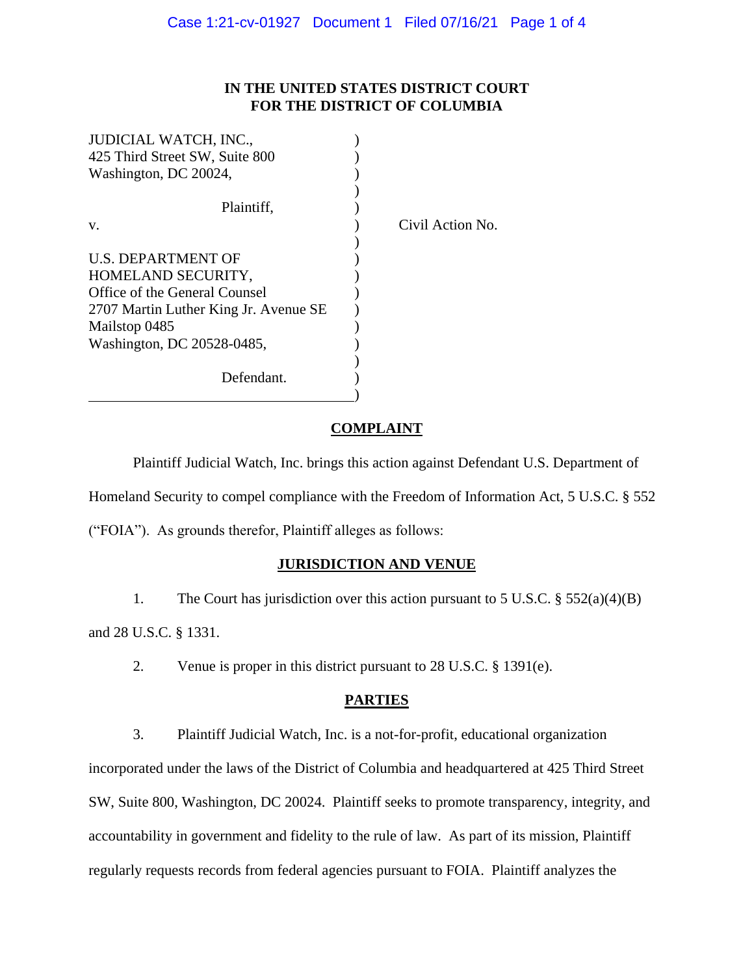# **IN THE UNITED STATES DISTRICT COURT FOR THE DISTRICT OF COLUMBIA**

Action No.

| <b>JUDICIAL WATCH, INC.,</b>             |       |
|------------------------------------------|-------|
| 425 Third Street SW, Suite 800           |       |
| Washington, DC 20024,                    |       |
| Plaintiff,<br>V.                         | Civil |
| U.S. DEPARTMENT OF<br>HOMELAND SECURITY, |       |
| Office of the General Counsel            |       |
| 2707 Martin Luther King Jr. Avenue SE    |       |
| Mailstop 0485                            |       |
| Washington, DC 20528-0485,               |       |
| Defendant.                               |       |

**COMPLAINT**

Plaintiff Judicial Watch, Inc. brings this action against Defendant U.S. Department of Homeland Security to compel compliance with the Freedom of Information Act, 5 U.S.C. § 552 ("FOIA"). As grounds therefor, Plaintiff alleges as follows:

## **JURISDICTION AND VENUE**

1. The Court has jurisdiction over this action pursuant to 5 U.S.C. § 552(a)(4)(B)

and 28 U.S.C. § 1331.

2. Venue is proper in this district pursuant to 28 U.S.C. § 1391(e).

### **PARTIES**

3. Plaintiff Judicial Watch, Inc. is a not-for-profit, educational organization incorporated under the laws of the District of Columbia and headquartered at 425 Third Street SW, Suite 800, Washington, DC 20024. Plaintiff seeks to promote transparency, integrity, and accountability in government and fidelity to the rule of law. As part of its mission, Plaintiff regularly requests records from federal agencies pursuant to FOIA. Plaintiff analyzes the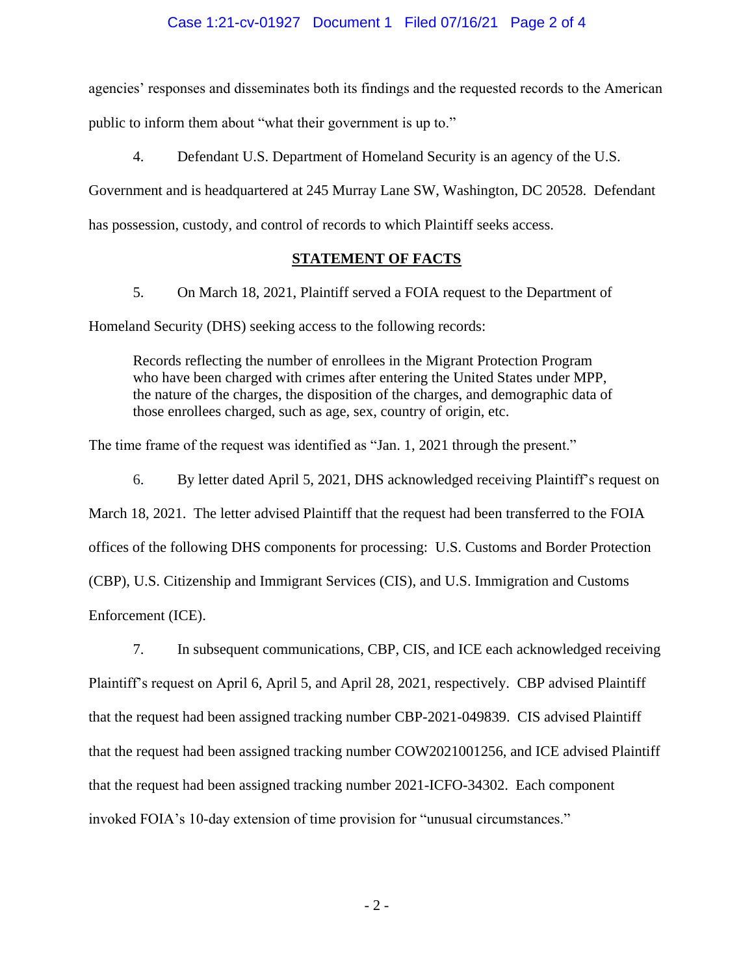### Case 1:21-cv-01927 Document 1 Filed 07/16/21 Page 2 of 4

agencies' responses and disseminates both its findings and the requested records to the American public to inform them about "what their government is up to."

4. Defendant U.S. Department of Homeland Security is an agency of the U.S.

Government and is headquartered at 245 Murray Lane SW, Washington, DC 20528. Defendant has possession, custody, and control of records to which Plaintiff seeks access.

#### **STATEMENT OF FACTS**

5. On March 18, 2021, Plaintiff served a FOIA request to the Department of

Homeland Security (DHS) seeking access to the following records:

Records reflecting the number of enrollees in the Migrant Protection Program who have been charged with crimes after entering the United States under MPP, the nature of the charges, the disposition of the charges, and demographic data of those enrollees charged, such as age, sex, country of origin, etc.

The time frame of the request was identified as "Jan. 1, 2021 through the present."

6. By letter dated April 5, 2021, DHS acknowledged receiving Plaintiff's request on

March 18, 2021. The letter advised Plaintiff that the request had been transferred to the FOIA

offices of the following DHS components for processing: U.S. Customs and Border Protection

(CBP), U.S. Citizenship and Immigrant Services (CIS), and U.S. Immigration and Customs

Enforcement (ICE).

7. In subsequent communications, CBP, CIS, and ICE each acknowledged receiving Plaintiff's request on April 6, April 5, and April 28, 2021, respectively. CBP advised Plaintiff that the request had been assigned tracking number CBP-2021-049839. CIS advised Plaintiff that the request had been assigned tracking number COW2021001256, and ICE advised Plaintiff that the request had been assigned tracking number 2021-ICFO-34302. Each component invoked FOIA's 10-day extension of time provision for "unusual circumstances."

- 2 -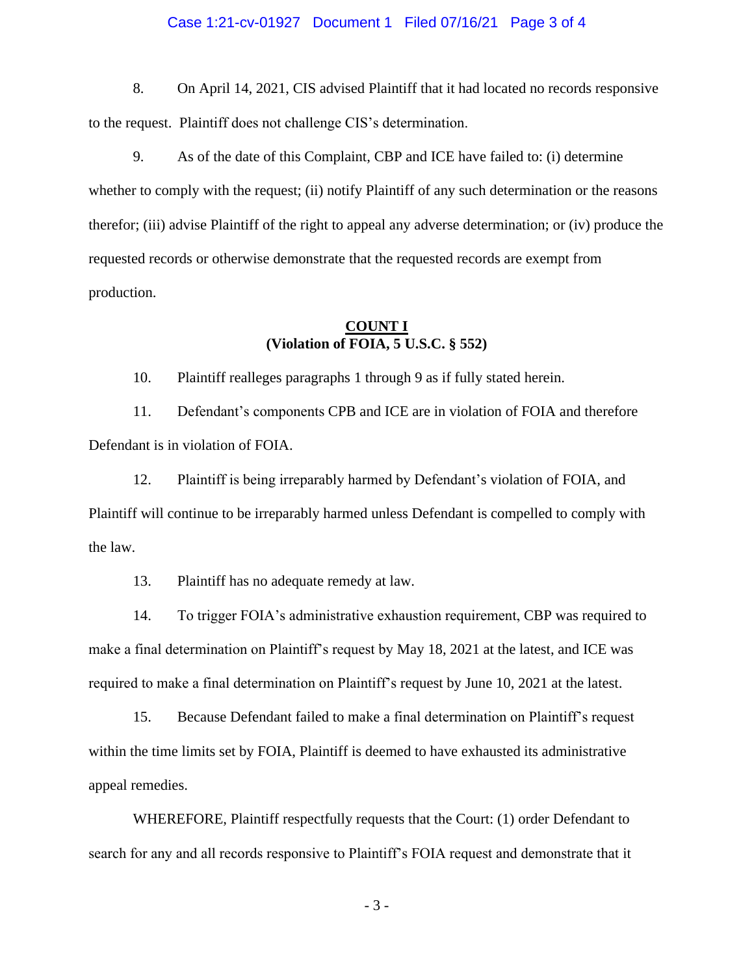#### Case 1:21-cv-01927 Document 1 Filed 07/16/21 Page 3 of 4

8. On April 14, 2021, CIS advised Plaintiff that it had located no records responsive to the request. Plaintiff does not challenge CIS's determination.

9. As of the date of this Complaint, CBP and ICE have failed to: (i) determine whether to comply with the request; (ii) notify Plaintiff of any such determination or the reasons therefor; (iii) advise Plaintiff of the right to appeal any adverse determination; or (iv) produce the requested records or otherwise demonstrate that the requested records are exempt from production.

## **COUNT I (Violation of FOIA, 5 U.S.C. § 552)**

10. Plaintiff realleges paragraphs 1 through 9 as if fully stated herein.

11. Defendant's components CPB and ICE are in violation of FOIA and therefore Defendant is in violation of FOIA.

12. Plaintiff is being irreparably harmed by Defendant's violation of FOIA, and Plaintiff will continue to be irreparably harmed unless Defendant is compelled to comply with the law.

13. Plaintiff has no adequate remedy at law.

14. To trigger FOIA's administrative exhaustion requirement, CBP was required to make a final determination on Plaintiff's request by May 18, 2021 at the latest, and ICE was required to make a final determination on Plaintiff's request by June 10, 2021 at the latest.

15. Because Defendant failed to make a final determination on Plaintiff's request within the time limits set by FOIA, Plaintiff is deemed to have exhausted its administrative appeal remedies.

WHEREFORE, Plaintiff respectfully requests that the Court: (1) order Defendant to search for any and all records responsive to Plaintiff's FOIA request and demonstrate that it

- 3 -